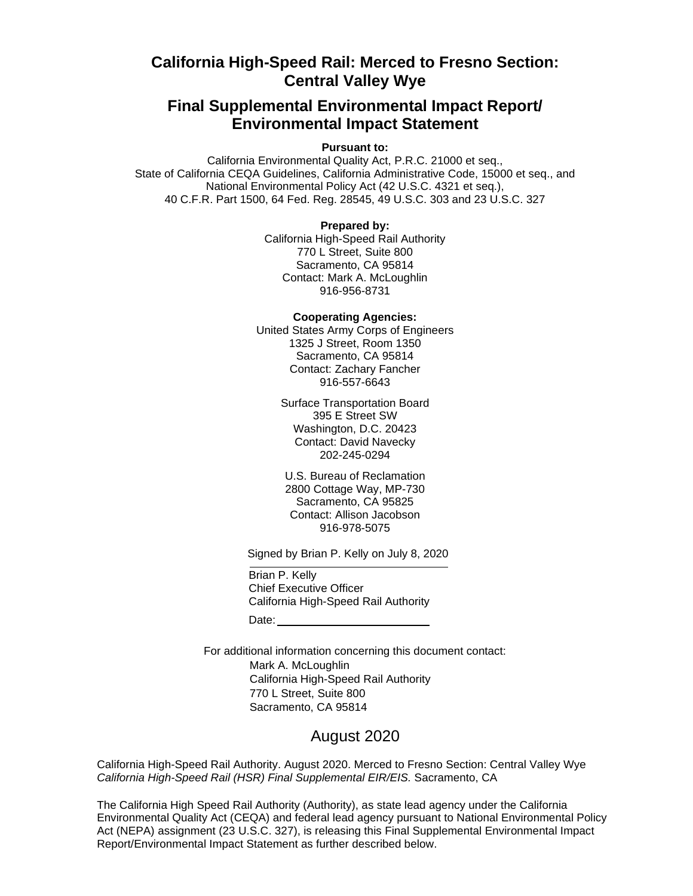## **California High-Speed Rail: Merced to Fresno Section: Central Valley Wye**

## **Final Supplemental Environmental Impact Report/ Environmental Impact Statement**

**Pursuant to:**

California Environmental Quality Act, P.R.C. 21000 et seq., State of California CEQA Guidelines, California Administrative Code, 15000 et seq., and National Environmental Policy Act (42 U.S.C. 4321 et seq.), 40 C.F.R. Part 1500, 64 Fed. Reg. 28545, 49 U.S.C. 303 and 23 U.S.C. 327

## **Prepared by:**

California High-Speed Rail Authority 770 L Street, Suite 800 Sacramento, CA 95814 Contact: Mark A. McLoughlin 916-956-8731

**Cooperating Agencies:**

United States Army Corps of Engineers 1325 J Street, Room 1350 Sacramento, CA 95814 Contact: Zachary Fancher 916-557-6643

> Surface Transportation Board 395 E Street SW Washington, D.C. 20423 Contact: David Navecky 202-245-0294

U.S. Bureau of Reclamation 2800 Cottage Way, MP-730 Sacramento, CA 95825 Contact: Allison Jacobson 916-978-5075

Signed by Brian P. Kelly on July 8, 2020

Brian P. Kelly Chief Executive Officer California High-Speed Rail Authority Date: **Date:** 

For additional information concerning this document contact: Mark A. McLoughlin California High-Speed Rail Authority 770 L Street, Suite 800 Sacramento, CA 95814

## August 2020

California High-Speed Rail Authority. August 2020. Merced to Fresno Section: Central Valley Wye *California High-Speed Rail (HSR) Final Supplemental EIR/EIS.* Sacramento, CA

The California High Speed Rail Authority (Authority), as state lead agency under the California Environmental Quality Act (CEQA) and federal lead agency pursuant to National Environmental Policy Act (NEPA) assignment (23 U.S.C. 327), is releasing this Final Supplemental Environmental Impact Report/Environmental Impact Statement as further described below.